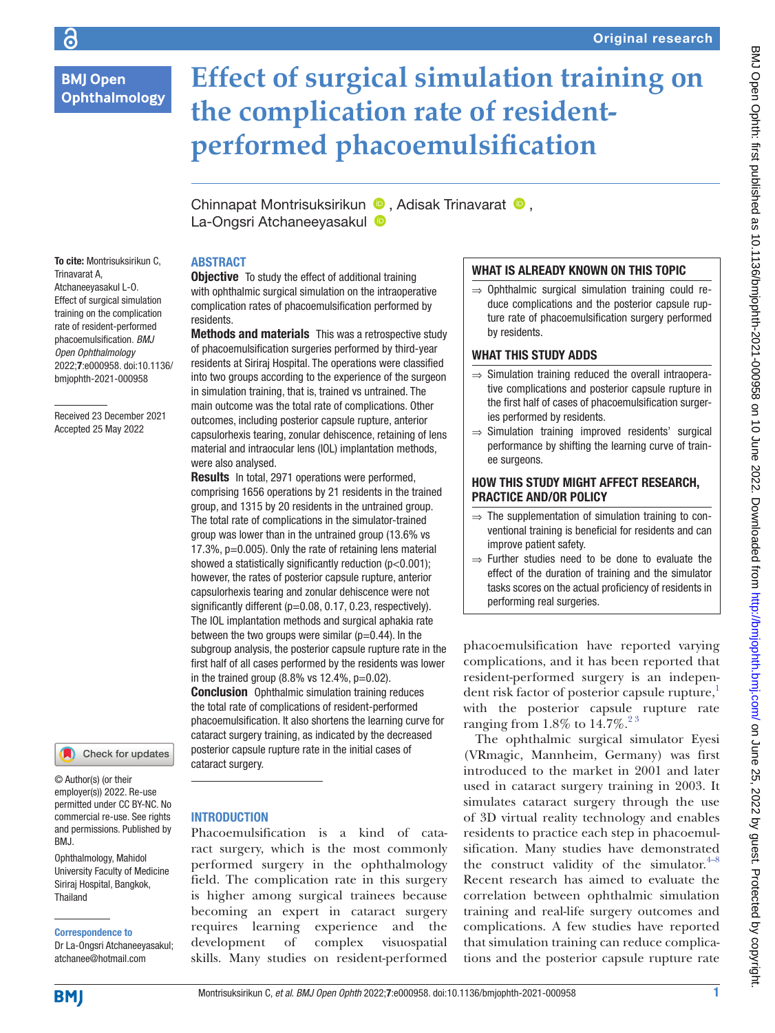# **BMJ Open Ophthalmology**

To cite: Montrisuksirikun C,

Received 23 December 2021 Accepted 25 May 2022

Trinavarat A, Atchaneeyasakul L-O. Effect of surgical simulation training on the complication rate of resident-performed phacoemulsification. *BMJ Open Ophthalmology* 2022;7:e000958. doi:10.1136/ bmjophth-2021-000958

# **Effect of surgical simulation training on the complication rate of residentperformed phacoemulsification**

ChinnapatMontrisuksirikun <sup>(D</sup>, Adisak Trinavarat <sup>(D</sup>, La-Ongsri Atchaneeyasakul

## ABSTRACT

**Objective** To study the effect of additional training with ophthalmic surgical simulation on the intraoperative complication rates of phacoemulsification performed by residents.

**Methods and materials** This was a retrospective study of phacoemulsification surgeries performed by third-year residents at Siriraj Hospital. The operations were classified into two groups according to the experience of the surgeon in simulation training, that is, trained vs untrained. The main outcome was the total rate of complications. Other outcomes, including posterior capsule rupture, anterior capsulorhexis tearing, zonular dehiscence, retaining of lens material and intraocular lens (IOL) implantation methods, were also analysed.

Results In total, 2971 operations were performed, comprising 1656 operations by 21 residents in the trained group, and 1315 by 20 residents in the untrained group. The total rate of complications in the simulator-trained group was lower than in the untrained group (13.6% vs 17.3%, p=0.005). Only the rate of retaining lens material showed a statistically significantly reduction (p<0.001); however, the rates of posterior capsule rupture, anterior capsulorhexis tearing and zonular dehiscence were not significantly different (p=0.08, 0.17, 0.23, respectively). The IOL implantation methods and surgical aphakia rate between the two groups were similar  $(p=0.44)$ . In the subgroup analysis, the posterior capsule rupture rate in the first half of all cases performed by the residents was lower in the trained group  $(8.8\% \text{ vs } 12.4\% \text{, } p=0.02)$ . **Conclusion** Ophthalmic simulation training reduces the total rate of complications of resident-performed phacoemulsification. It also shortens the learning curve for cataract surgery training, as indicated by the decreased posterior capsule rupture rate in the initial cases of cataract surgery.

Check for updates

© Author(s) (or their employer(s)) 2022. Re-use permitted under CC BY-NC. No commercial re-use. See rights and permissions. Published by BMJ.

Ophthalmology, Mahidol University Faculty of Medicine Siriraj Hospital, Bangkok, Thailand

Correspondence to

Dr La-Ongsri Atchaneeyasakul; atchanee@hotmail.com

## **INTRODUCTION**

Phacoemulsification is a kind of cataract surgery, which is the most commonly performed surgery in the ophthalmology field. The complication rate in this surgery is higher among surgical trainees because becoming an expert in cataract surgery requires learning experience and the development of complex visuospatial skills. Many studies on resident-performed

## WHAT IS ALREADY KNOWN ON THIS TOPIC

 $\Rightarrow$  Ophthalmic surgical simulation training could reduce complications and the posterior capsule rupture rate of phacoemulsification surgery performed by residents.

## WHAT THIS STUDY ADDS

- ⇒ Simulation training reduced the overall intraoperative complications and posterior capsule rupture in the first half of cases of phacoemulsification surgeries performed by residents.
- ⇒ Simulation training improved residents' surgical performance by shifting the learning curve of trainee surgeons.

## HOW THIS STUDY MIGHT AFFECT RESEARCH, PRACTICE AND/OR POLICY

- $\Rightarrow$  The supplementation of simulation training to conventional training is beneficial for residents and can improve patient safety.
- $\Rightarrow$  Further studies need to be done to evaluate the effect of the duration of training and the simulator tasks scores on the actual proficiency of residents in performing real surgeries.

phacoemulsification have reported varying complications, and it has been reported that resident-performed surgery is an independent risk factor of posterior capsule rupture, $\frac{1}{1}$ with the posterior capsule rupture rate ranging from  $1.8\%$  to  $14.7\%$ .<sup>23</sup>

The ophthalmic surgical simulator Eyesi (VRmagic, Mannheim, Germany) was first introduced to the market in 2001 and later used in cataract surgery training in 2003. It simulates cataract surgery through the use of 3D virtual reality technology and enables residents to practice each step in phacoemulsification. Many studies have demonstrated the construct validity of the simulator. $4-8$ Recent research has aimed to evaluate the correlation between ophthalmic simulation training and real-life surgery outcomes and complications. A few studies have reported that simulation training can reduce complications and the posterior capsule rupture rate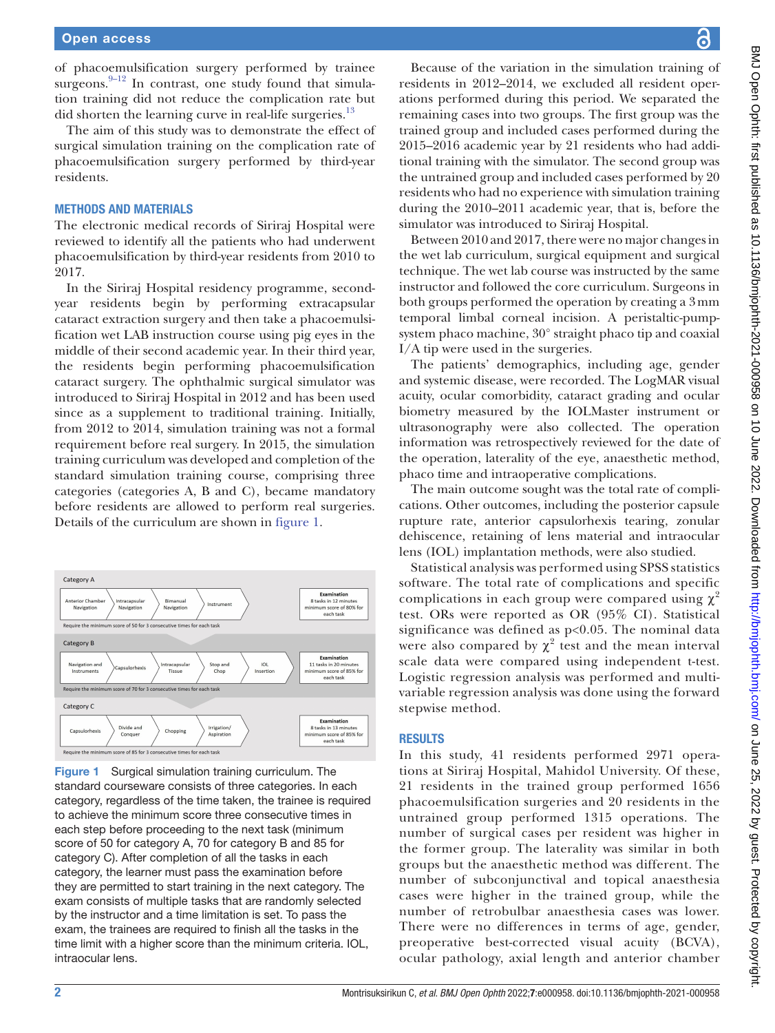of phacoemulsification surgery performed by trainee surgeons. $9-12$  In contrast, one study found that simulation training did not reduce the complication rate but did shorten the learning curve in real-life surgeries.<sup>[13](#page-6-3)</sup>

The aim of this study was to demonstrate the effect of surgical simulation training on the complication rate of phacoemulsification surgery performed by third-year residents.

#### METHODS AND MATERIALS

The electronic medical records of Siriraj Hospital were reviewed to identify all the patients who had underwent phacoemulsification by third-year residents from 2010 to 2017.

In the Siriraj Hospital residency programme, secondyear residents begin by performing extracapsular cataract extraction surgery and then take a phacoemulsification wet LAB instruction course using pig eyes in the middle of their second academic year. In their third year, the residents begin performing phacoemulsification cataract surgery. The ophthalmic surgical simulator was introduced to Siriraj Hospital in 2012 and has been used since as a supplement to traditional training. Initially, from 2012 to 2014, simulation training was not a formal requirement before real surgery. In 2015, the simulation training curriculum was developed and completion of the standard simulation training course, comprising three categories (categories A, B and C), became mandatory before residents are allowed to perform real surgeries. Details of the curriculum are shown in [figure](#page-1-0) 1.



<span id="page-1-0"></span>Figure 1 Surgical simulation training curriculum. The standard courseware consists of three categories. In each category, regardless of the time taken, the trainee is required to achieve the minimum score three consecutive times in each step before proceeding to the next task (minimum score of 50 for category A, 70 for category B and 85 for category C). After completion of all the tasks in each category, the learner must pass the examination before they are permitted to start training in the next category. The exam consists of multiple tasks that are randomly selected by the instructor and a time limitation is set. To pass the exam, the trainees are required to finish all the tasks in the time limit with a higher score than the minimum criteria. IOL, intraocular lens.

Because of the variation in the simulation training of residents in 2012–2014, we excluded all resident operations performed during this period. We separated the remaining cases into two groups. The first group was the trained group and included cases performed during the 2015–2016 academic year by 21 residents who had additional training with the simulator. The second group was the untrained group and included cases performed by 20 residents who had no experience with simulation training during the 2010–2011 academic year, that is, before the simulator was introduced to Siriraj Hospital.

Between 2010 and 2017, there were no major changes in the wet lab curriculum, surgical equipment and surgical technique. The wet lab course was instructed by the same instructor and followed the core curriculum. Surgeons in both groups performed the operation by creating a 3mm temporal limbal corneal incision. A peristaltic-pumpsystem phaco machine, 30° straight phaco tip and coaxial I/A tip were used in the surgeries.

The patients' demographics, including age, gender and systemic disease, were recorded. The LogMAR visual acuity, ocular comorbidity, cataract grading and ocular biometry measured by the IOLMaster instrument or ultrasonography were also collected. The operation information was retrospectively reviewed for the date of the operation, laterality of the eye, anaesthetic method, phaco time and intraoperative complications.

The main outcome sought was the total rate of complications. Other outcomes, including the posterior capsule rupture rate, anterior capsulorhexis tearing, zonular dehiscence, retaining of lens material and intraocular lens (IOL) implantation methods, were also studied.

Statistical analysis was performed using SPSS statistics software. The total rate of complications and specific complications in each group were compared using  $\chi^2$ test. ORs were reported as OR (95% CI). Statistical significance was defined as p<0.05. The nominal data were also compared by  $\chi^2$  test and the mean interval scale data were compared using independent t-test. Logistic regression analysis was performed and multivariable regression analysis was done using the forward stepwise method.

### RESULTS

In this study, 41 residents performed 2971 operations at Siriraj Hospital, Mahidol University. Of these, 21 residents in the trained group performed 1656 phacoemulsification surgeries and 20 residents in the untrained group performed 1315 operations. The number of surgical cases per resident was higher in the former group. The laterality was similar in both groups but the anaesthetic method was different. The number of subconjunctival and topical anaesthesia cases were higher in the trained group, while the number of retrobulbar anaesthesia cases was lower. There were no differences in terms of age, gender, preoperative best-corrected visual acuity (BCVA), ocular pathology, axial length and anterior chamber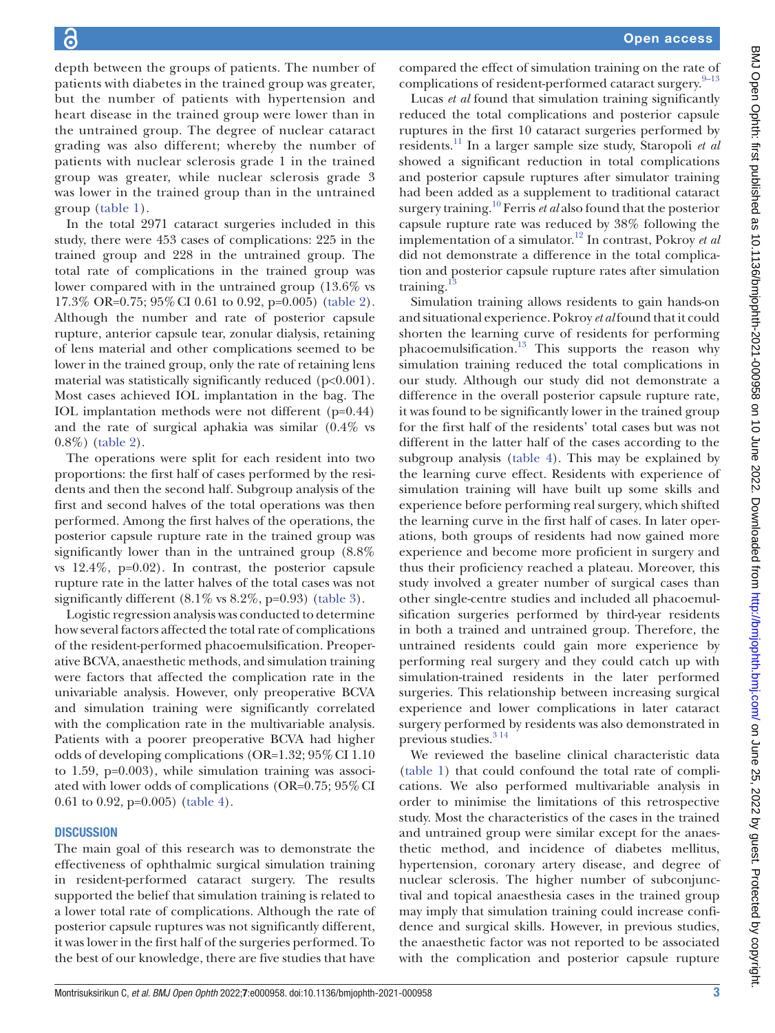depth between the groups of patients. The number of patients with diabetes in the trained group was greater, but the number of patients with hypertension and heart disease in the trained group were lower than in the untrained group. The degree of nuclear cataract grading was also different; whereby the number of patients with nuclear sclerosis grade 1 in the trained group was greater, while nuclear sclerosis grade 3 was lower in the trained group than in the untrained group ([table](#page-3-0) 1).

In the total 2971 cataract surgeries included in this study, there were 453 cases of complications: 225 in the trained group and 228 in the untrained group. The total rate of complications in the trained group was lower compared with in the untrained group (13.6% vs 17.3% OR=0.75; 95%CI 0.61 to 0.92, p=0.005) ([table](#page-4-0) 2). Although the number and rate of posterior capsule rupture, anterior capsule tear, zonular dialysis, retaining of lens material and other complications seemed to be lower in the trained group, only the rate of retaining lens material was statistically significantly reduced (p<0.001). Most cases achieved IOL implantation in the bag. The IOL implantation methods were not different (p=0.44) and the rate of surgical aphakia was similar (0.4% vs 0.8%) [\(table](#page-4-0) 2).

The operations were split for each resident into two proportions: the first half of cases performed by the residents and then the second half. Subgroup analysis of the first and second halves of the total operations was then performed. Among the first halves of the operations, the posterior capsule rupture rate in the trained group was significantly lower than in the untrained group (8.8% vs 12.4%, p=0.02). In contrast, the posterior capsule rupture rate in the latter halves of the total cases was not significantly different (8.1% vs 8.2%, p=0.93) ([table](#page-4-1) 3).

Logistic regression analysis was conducted to determine how several factors affected the total rate of complications of the resident-performed phacoemulsification. Preoperative BCVA, anaesthetic methods, and simulation training were factors that affected the complication rate in the univariable analysis. However, only preoperative BCVA and simulation training were significantly correlated with the complication rate in the multivariable analysis. Patients with a poorer preoperative BCVA had higher odds of developing complications (OR=1.32; 95%CI 1.10 to 1.59, p=0.003), while simulation training was associated with lower odds of complications (OR=0.75; 95%CI 0.61 to 0.92, p=0.005) [\(table](#page-5-0) 4).

## **DISCUSSION**

The main goal of this research was to demonstrate the effectiveness of ophthalmic surgical simulation training in resident-performed cataract surgery. The results supported the belief that simulation training is related to a lower total rate of complications. Although the rate of posterior capsule ruptures was not significantly different, it was lower in the first half of the surgeries performed. To the best of our knowledge, there are five studies that have

compared the effect of simulation training on the rate of complications of resident-performed cataract surgery.<sup>9-13</sup>

Lucas *et al* found that simulation training significantly reduced the total complications and posterior capsule ruptures in the first 10 cataract surgeries performed by residents[.11](#page-6-4) In a larger sample size study, Staropoli *et al* showed a significant reduction in total complications and posterior capsule ruptures after simulator training had been added as a supplement to traditional cataract surgery training[.10](#page-6-5) Ferris *et al* also found that the posterior capsule rupture rate was reduced by 38% following the implementation of a simulator.[12](#page-6-6) In contrast, Pokroy *et al* did not demonstrate a difference in the total complication and posterior capsule rupture rates after simulation training. $\frac{1}{2}$ 

Simulation training allows residents to gain hands-on and situational experience. Pokroy *et al* found that it could shorten the learning curve of residents for performing phacoemulsification.<sup>13</sup> This supports the reason why simulation training reduced the total complications in our study. Although our study did not demonstrate a difference in the overall posterior capsule rupture rate, it was found to be significantly lower in the trained group for the first half of the residents' total cases but was not different in the latter half of the cases according to the subgroup analysis ([table](#page-5-0) 4). This may be explained by the learning curve effect. Residents with experience of simulation training will have built up some skills and experience before performing real surgery, which shifted the learning curve in the first half of cases. In later operations, both groups of residents had now gained more experience and become more proficient in surgery and thus their proficiency reached a plateau. Moreover, this study involved a greater number of surgical cases than other single-centre studies and included all phacoemulsification surgeries performed by third-year residents in both a trained and untrained group. Therefore, the untrained residents could gain more experience by performing real surgery and they could catch up with simulation-trained residents in the later performed surgeries. This relationship between increasing surgical experience and lower complications in later cataract surgery performed by residents was also demonstrated in previous studies.<sup>314</sup>

We reviewed the baseline clinical characteristic data [\(table](#page-3-0) 1) that could confound the total rate of complications. We also performed multivariable analysis in order to minimise the limitations of this retrospective study. Most the characteristics of the cases in the trained and untrained group were similar except for the anaesthetic method, and incidence of diabetes mellitus, hypertension, coronary artery disease, and degree of nuclear sclerosis. The higher number of subconjunctival and topical anaesthesia cases in the trained group may imply that simulation training could increase confidence and surgical skills. However, in previous studies, the anaesthetic factor was not reported to be associated with the complication and posterior capsule rupture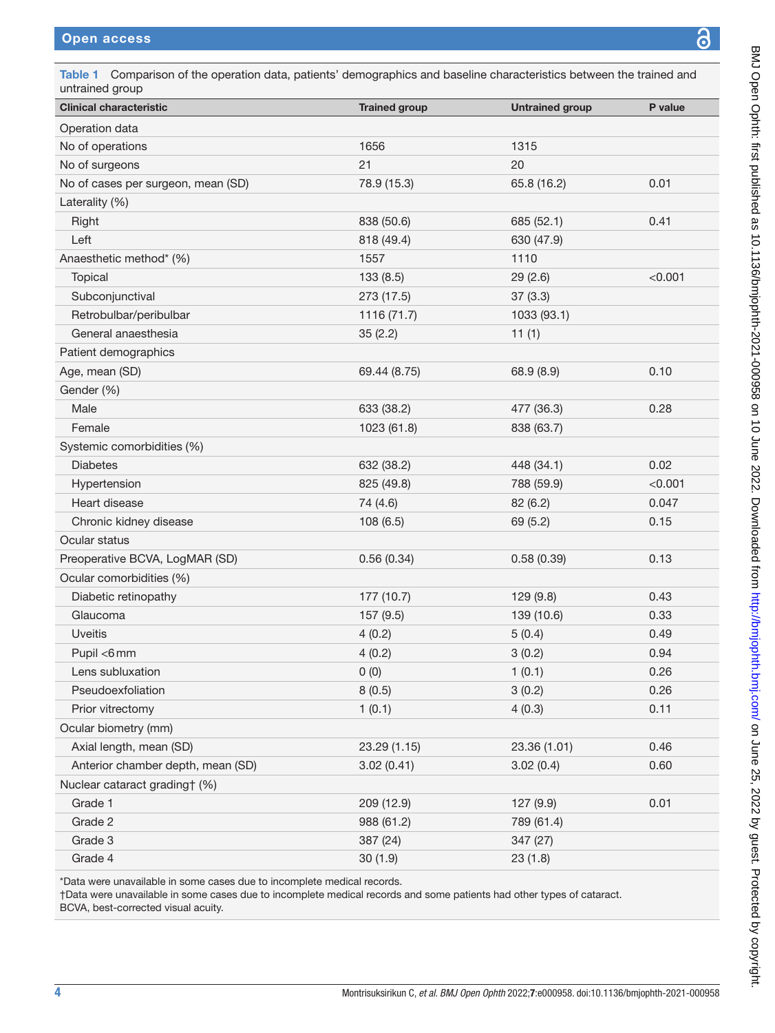ψ

<span id="page-3-0"></span>

| <b>Clinical characteristic</b>                                                                                                                                                                                                          | <b>Trained group</b> | <b>Untrained group</b> | P value |
|-----------------------------------------------------------------------------------------------------------------------------------------------------------------------------------------------------------------------------------------|----------------------|------------------------|---------|
| Operation data                                                                                                                                                                                                                          |                      |                        |         |
| No of operations                                                                                                                                                                                                                        | 1656                 | 1315                   |         |
| No of surgeons                                                                                                                                                                                                                          | 21                   | 20                     |         |
| No of cases per surgeon, mean (SD)                                                                                                                                                                                                      | 78.9 (15.3)          | 65.8 (16.2)            | 0.01    |
| Laterality (%)                                                                                                                                                                                                                          |                      |                        |         |
| Right                                                                                                                                                                                                                                   | 838 (50.6)           | 685 (52.1)             | 0.41    |
| Left                                                                                                                                                                                                                                    | 818 (49.4)           | 630 (47.9)             |         |
| Anaesthetic method* (%)                                                                                                                                                                                                                 | 1557                 | 1110                   |         |
| Topical                                                                                                                                                                                                                                 | 133(8.5)             | 29(2.6)                | < 0.001 |
| Subconjunctival                                                                                                                                                                                                                         | 273 (17.5)           | 37(3.3)                |         |
| Retrobulbar/peribulbar                                                                                                                                                                                                                  | 1116(71.7)           | 1033 (93.1)            |         |
| General anaesthesia                                                                                                                                                                                                                     | 35(2.2)              | 11(1)                  |         |
| Patient demographics                                                                                                                                                                                                                    |                      |                        |         |
| Age, mean (SD)                                                                                                                                                                                                                          | 69.44 (8.75)         | 68.9 (8.9)             | 0.10    |
| Gender (%)                                                                                                                                                                                                                              |                      |                        |         |
| Male                                                                                                                                                                                                                                    | 633 (38.2)           | 477 (36.3)             | 0.28    |
| Female                                                                                                                                                                                                                                  | 1023 (61.8)          | 838 (63.7)             |         |
| Systemic comorbidities (%)                                                                                                                                                                                                              |                      |                        |         |
| <b>Diabetes</b>                                                                                                                                                                                                                         | 632 (38.2)           | 448 (34.1)             | 0.02    |
| Hypertension                                                                                                                                                                                                                            | 825 (49.8)           | 788 (59.9)             | < 0.001 |
| Heart disease                                                                                                                                                                                                                           | 74 (4.6)             | 82 (6.2)               | 0.047   |
| Chronic kidney disease                                                                                                                                                                                                                  | 108(6.5)             | 69 (5.2)               | 0.15    |
| Ocular status                                                                                                                                                                                                                           |                      |                        |         |
| Preoperative BCVA, LogMAR (SD)                                                                                                                                                                                                          | 0.56(0.34)           | 0.58(0.39)             | 0.13    |
| Ocular comorbidities (%)                                                                                                                                                                                                                |                      |                        |         |
| Diabetic retinopathy                                                                                                                                                                                                                    | 177 (10.7)           | 129(9.8)               | 0.43    |
| Glaucoma                                                                                                                                                                                                                                | 157 (9.5)            | 139 (10.6)             | 0.33    |
| <b>Uveitis</b>                                                                                                                                                                                                                          | 4(0.2)               | 5(0.4)                 | 0.49    |
| Pupil <6mm                                                                                                                                                                                                                              | 4(0.2)               | 3(0.2)                 | 0.94    |
| Lens subluxation                                                                                                                                                                                                                        | 0(0)                 | 1(0.1)                 | 0.26    |
| Pseudoexfoliation                                                                                                                                                                                                                       | 8(0.5)               | 3(0.2)                 | 0.26    |
| Prior vitrectomy                                                                                                                                                                                                                        | 1(0.1)               | 4(0.3)                 | 0.11    |
| Ocular biometry (mm)                                                                                                                                                                                                                    |                      |                        |         |
| Axial length, mean (SD)                                                                                                                                                                                                                 | 23.29 (1.15)         | 23.36 (1.01)           | 0.46    |
| Anterior chamber depth, mean (SD)                                                                                                                                                                                                       | 3.02(0.41)           | 3.02(0.4)              | 0.60    |
| Nuclear cataract grading† (%)                                                                                                                                                                                                           |                      |                        |         |
| Grade 1                                                                                                                                                                                                                                 | 209 (12.9)           | 127 (9.9)              | 0.01    |
| Grade 2                                                                                                                                                                                                                                 | 988 (61.2)           | 789 (61.4)             |         |
| Grade 3                                                                                                                                                                                                                                 | 387 (24)             | 347 (27)               |         |
| Grade 4                                                                                                                                                                                                                                 | 30(1.9)              | 23(1.8)                |         |
| *Data were unavailable in some cases due to incomplete medical records.<br>†Data were unavailable in some cases due to incomplete medical records and some patients had other types of cataract.<br>BCVA, best-corrected visual acuity. |                      |                        |         |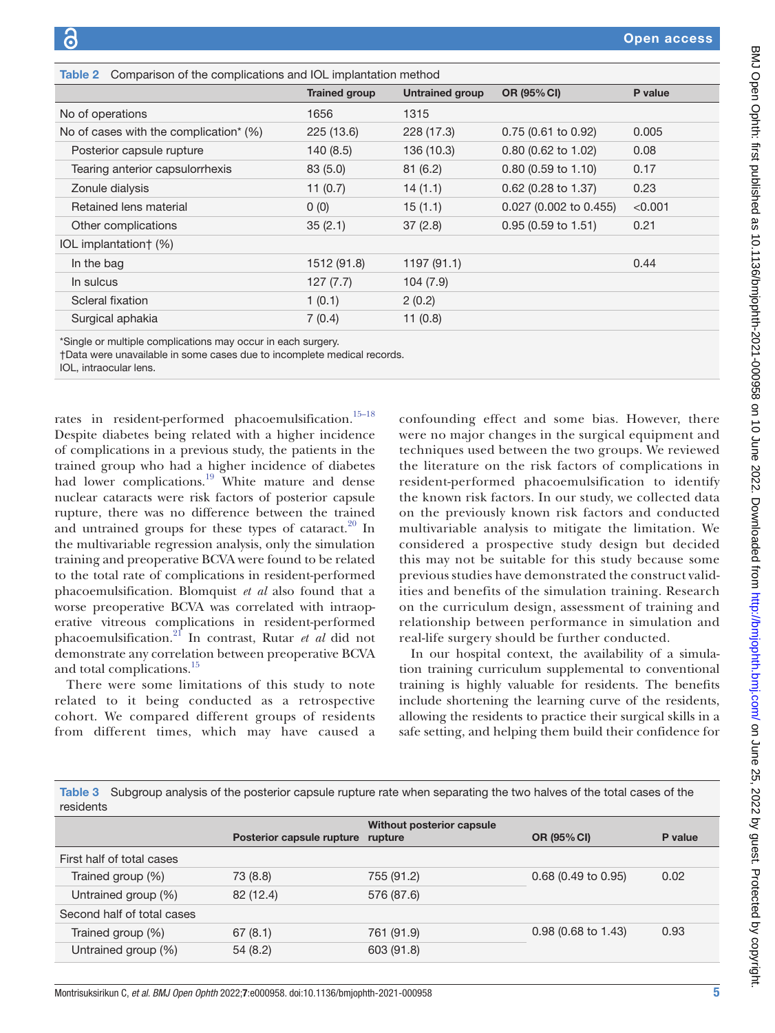<span id="page-4-0"></span>

| <b>Table 2</b> Comparison of the complications and IOL implantation method |                      |                        |                        |         |
|----------------------------------------------------------------------------|----------------------|------------------------|------------------------|---------|
|                                                                            | <b>Trained group</b> | <b>Untrained group</b> | OR (95% CI)            | P value |
| No of operations                                                           | 1656                 | 1315                   |                        |         |
| No of cases with the complication* (%)                                     | 225 (13.6)           | 228 (17.3)             | 0.75 (0.61 to 0.92)    | 0.005   |
| Posterior capsule rupture                                                  | 140(8.5)             | 136 (10.3)             | $0.80$ (0.62 to 1.02)  | 0.08    |
| Tearing anterior capsulorrhexis                                            | 83 (5.0)             | 81(6.2)                | $0.80$ (0.59 to 1.10)  | 0.17    |
| Zonule dialysis                                                            | 11(0.7)              | 14(1.1)                | 0.62 (0.28 to 1.37)    | 0.23    |
| Retained lens material                                                     | 0(0)                 | 15(1.1)                | 0.027 (0.002 to 0.455) | < 0.001 |
| Other complications                                                        | 35(2.1)              | 37(2.8)                | 0.95 (0.59 to 1.51)    | 0.21    |
| IOL implantation † (%)                                                     |                      |                        |                        |         |
| In the bag                                                                 | 1512 (91.8)          | 1197 (91.1)            |                        | 0.44    |
| In sulcus                                                                  | 127(7.7)             | 104(7.9)               |                        |         |
| Scleral fixation                                                           | 1(0.1)               | 2(0.2)                 |                        |         |
| Surgical aphakia                                                           | 7(0.4)               | 11(0.8)                |                        |         |
|                                                                            |                      |                        |                        |         |

\*Single or multiple complications may occur in each surgery.

†Data were unavailable in some cases due to incomplete medical records.

IOL, intraocular lens.

rates in resident-performed phacoemulsification.<sup>15-18</sup> Despite diabetes being related with a higher incidence of complications in a previous study, the patients in the trained group who had a higher incidence of diabetes had lower complications.<sup>19</sup> White mature and dense nuclear cataracts were risk factors of posterior capsule rupture, there was no difference between the trained and untrained groups for these types of cataract. $20 \text{ In}$ the multivariable regression analysis, only the simulation training and preoperative BCVA were found to be related to the total rate of complications in resident-performed phacoemulsification. Blomquist *et al* also found that a worse preoperative BCVA was correlated with intraoperative vitreous complications in resident-performed phacoemulsification[.21](#page-6-11) In contrast, Rutar *et al* did not demonstrate any correlation between preoperative BCVA and total complications.<sup>[15](#page-6-8)</sup>

There were some limitations of this study to note related to it being conducted as a retrospective cohort. We compared different groups of residents from different times, which may have caused a

confounding effect and some bias. However, there were no major changes in the surgical equipment and techniques used between the two groups. We reviewed the literature on the risk factors of complications in resident-performed phacoemulsification to identify the known risk factors. In our study, we collected data on the previously known risk factors and conducted multivariable analysis to mitigate the limitation. We considered a prospective study design but decided this may not be suitable for this study because some previous studies have demonstrated the construct validities and benefits of the simulation training. Research on the curriculum design, assessment of training and relationship between performance in simulation and real-life surgery should be further conducted.

In our hospital context, the availability of a simulation training curriculum supplemental to conventional training is highly valuable for residents. The benefits include shortening the learning curve of the residents, allowing the residents to practice their surgical skills in a safe setting, and helping them build their confidence for

<span id="page-4-1"></span>Table 3 Subgroup analysis of the posterior capsule rupture rate when separating the two halves of the total cases of the residents

|                            | Posterior capsule rupture | Without posterior capsule<br>rupture | OR (95% CI)           | P value |
|----------------------------|---------------------------|--------------------------------------|-----------------------|---------|
| First half of total cases  |                           |                                      |                       |         |
| Trained group (%)          | 73 (8.8)                  | 755 (91.2)                           | $0.68$ (0.49 to 0.95) | 0.02    |
| Untrained group (%)        | 82 (12.4)                 | 576 (87.6)                           |                       |         |
| Second half of total cases |                           |                                      |                       |         |
| Trained group (%)          | 67(8.1)                   | 761 (91.9)                           | $0.98$ (0.68 to 1.43) | 0.93    |
| Untrained group (%)        | 54(8.2)                   | 603 (91.8)                           |                       |         |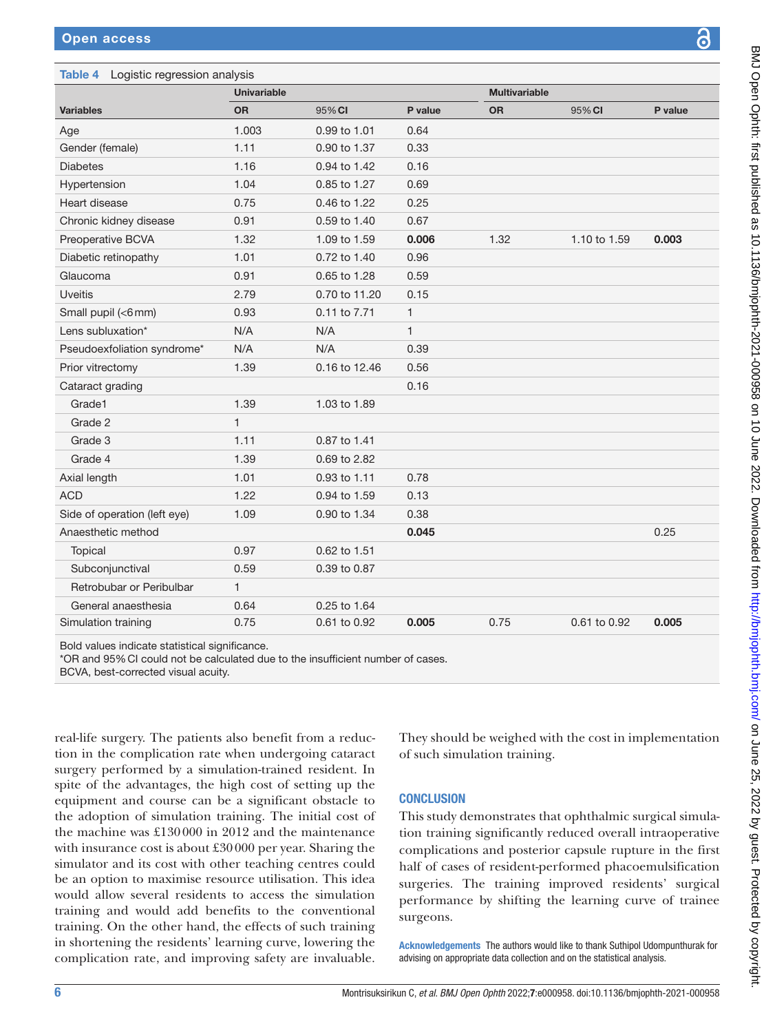## Table 4 Logistic

| P.<br>Ľ, |
|----------|
|          |
|          |

<span id="page-5-0"></span>

|                              | <b>Univariable</b> |               |              | <b>Multivariable</b> |              |         |
|------------------------------|--------------------|---------------|--------------|----------------------|--------------|---------|
| <b>Variables</b>             | <b>OR</b>          | 95% CI        | P value      | <b>OR</b>            | 95% CI       | P value |
| Age                          | 1.003              | 0.99 to 1.01  | 0.64         |                      |              |         |
| Gender (female)              | 1.11               | 0.90 to 1.37  | 0.33         |                      |              |         |
| <b>Diabetes</b>              | 1.16               | 0.94 to 1.42  | 0.16         |                      |              |         |
| Hypertension                 | 1.04               | 0.85 to 1.27  | 0.69         |                      |              |         |
| Heart disease                | 0.75               | 0.46 to 1.22  | 0.25         |                      |              |         |
| Chronic kidney disease       | 0.91               | 0.59 to 1.40  | 0.67         |                      |              |         |
| Preoperative BCVA            | 1.32               | 1.09 to 1.59  | 0.006        | 1.32                 | 1.10 to 1.59 | 0.003   |
| Diabetic retinopathy         | 1.01               | 0.72 to 1.40  | 0.96         |                      |              |         |
| Glaucoma                     | 0.91               | 0.65 to 1.28  | 0.59         |                      |              |         |
| Uveitis                      | 2.79               | 0.70 to 11.20 | 0.15         |                      |              |         |
| Small pupil (<6mm)           | 0.93               | 0.11 to 7.71  | 1            |                      |              |         |
| Lens subluxation*            | N/A                | N/A           | $\mathbf{1}$ |                      |              |         |
| Pseudoexfoliation syndrome*  | N/A                | N/A           | 0.39         |                      |              |         |
| Prior vitrectomy             | 1.39               | 0.16 to 12.46 | 0.56         |                      |              |         |
| Cataract grading             |                    |               | 0.16         |                      |              |         |
| Grade1                       | 1.39               | 1.03 to 1.89  |              |                      |              |         |
| Grade 2                      | $\mathbf{1}$       |               |              |                      |              |         |
| Grade 3                      | 1.11               | 0.87 to 1.41  |              |                      |              |         |
| Grade 4                      | 1.39               | 0.69 to 2.82  |              |                      |              |         |
| Axial length                 | 1.01               | 0.93 to 1.11  | 0.78         |                      |              |         |
| <b>ACD</b>                   | 1.22               | 0.94 to 1.59  | 0.13         |                      |              |         |
| Side of operation (left eye) | 1.09               | 0.90 to 1.34  | 0.38         |                      |              |         |
| Anaesthetic method           |                    |               | 0.045        |                      |              | 0.25    |
| Topical                      | 0.97               | 0.62 to 1.51  |              |                      |              |         |
| Subconjunctival              | 0.59               | 0.39 to 0.87  |              |                      |              |         |
| Retrobubar or Peribulbar     | 1                  |               |              |                      |              |         |
| General anaesthesia          | 0.64               | 0.25 to 1.64  |              |                      |              |         |
| Simulation training          | 0.75               | 0.61 to 0.92  | 0.005        | 0.75                 | 0.61 to 0.92 | 0.005   |

Bold values indicat

\*OR and 95%CI could not be calculated due to the insufficient number of cases.

BCVA, best-corrected visual acuity.

real-life surgery. The patients also benefit from a reduction in the complication rate when undergoing cataract surgery performed by a simulation-trained resident. In spite of the advantages, the high cost of setting up the equipment and course can be a significant obstacle to the adoption of simulation training. The initial cost of the machine was £130000 in 2012 and the maintenance with insurance cost is about £30000 per year. Sharing the simulator and its cost with other teaching centres could be an option to maximise resource utilisation. This idea would allow several residents to access the simulation training and would add benefits to the conventional training. On the other hand, the effects of such training in shortening the residents' learning curve, lowering the complication rate, and improving safety are invaluable.

They should be weighed with the cost in implementation of such simulation training.

## **CONCLUSION**

This study demonstrates that ophthalmic surgical simulation training significantly reduced overall intraoperative complications and posterior capsule rupture in the first half of cases of resident-performed phacoemulsification surgeries. The training improved residents' surgical performance by shifting the learning curve of trainee surgeons.

Acknowledgements The authors would like to thank Suthipol Udompunthurak for advising on appropriate data collection and on the statistical analysis.